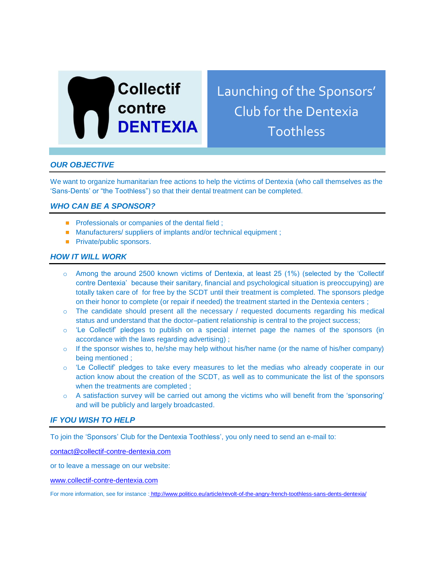

Launching of the Sponsors' Club for the Dentexia Toothless

# *OUR OBJECTIVE*

We want to organize humanitarian free actions to help the victims of Dentexia (who call themselves as the 'Sans-Dents' or "the Toothless") so that their dental treatment can be completed.

## *WHO CAN BE A SPONSOR?*

- **Professionals or companies of the dental field ;**
- Manufacturers/ suppliers of implants and/or technical equipment ;
- **Private/public sponsors.**

### *HOW IT WILL WORK*

- o Among the around 2500 known victims of Dentexia, at least 25 (1%) (selected by the 'Collectif contre Dentexia' because their sanitary, financial and psychological situation is preoccupying) are totally taken care of for free by the SCDT until their treatment is completed. The sponsors pledge on their honor to complete (or repair if needed) the treatment started in the Dentexia centers ;
- $\circ$  The candidate should present all the necessary / requested documents regarding his medical status and understand that the doctor–patient relationship is central to the project success;
- $\circ$  'Le Collectif' pledges to publish on a special internet page the names of the sponsors (in accordance with the laws regarding advertising) ;
- $\circ$  If the sponsor wishes to, he/she may help without his/her name (or the name of his/her company) being mentioned ;
- o 'Le Collectif' pledges to take every measures to let the medias who already cooperate in our action know about the creation of the SCDT, as well as to communicate the list of the sponsors when the treatments are completed ;
- o A satisfaction survey will be carried out among the victims who will benefit from the 'sponsoring' and will be publicly and largely broadcasted.

## *IF YOU WISH TO HELP*

To join the 'Sponsors' Club for the Dentexia Toothless', you only need to send an e-mail to:

[contact@collectif-contre-dentexia.com](mailto:contact@collectif-contre-dentexia.com)

or to leave a message on our website:

[www.collectif-contre-dentexia.com](http://www.collectif-contre-dentexia.com/)

For more information, see for instance : http://www.politico.eu/article/revolt-of-the-angry-french-toothless-sans-dents-dentexia/